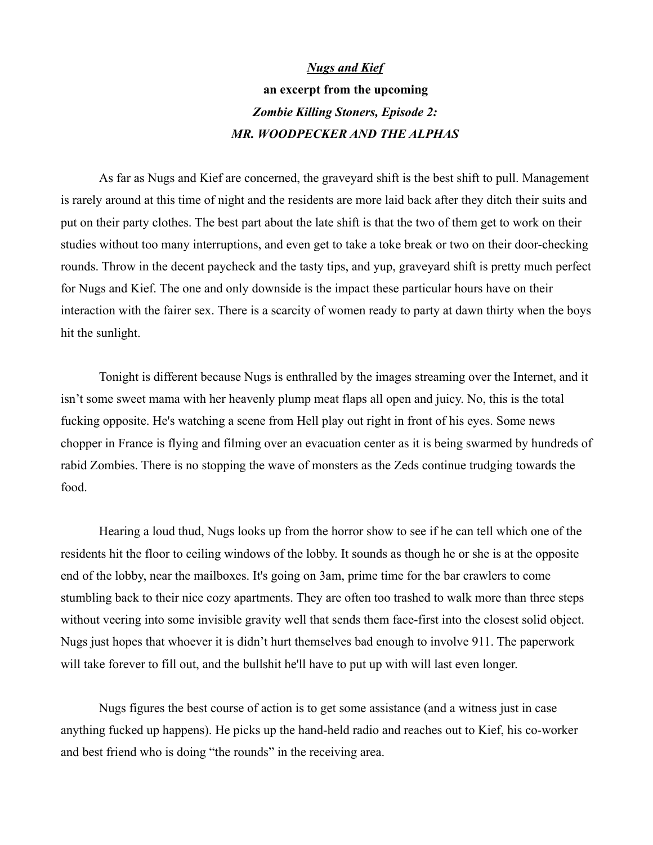## *Nugs and Kief* **an excerpt from the upcoming** *Zombie Killing Stoners, Episode 2: MR. WOODPECKER AND THE ALPHAS*

As far as Nugs and Kief are concerned, the graveyard shift is the best shift to pull. Management is rarely around at this time of night and the residents are more laid back after they ditch their suits and put on their party clothes. The best part about the late shift is that the two of them get to work on their studies without too many interruptions, and even get to take a toke break or two on their door-checking rounds. Throw in the decent paycheck and the tasty tips, and yup, graveyard shift is pretty much perfect for Nugs and Kief. The one and only downside is the impact these particular hours have on their interaction with the fairer sex. There is a scarcity of women ready to party at dawn thirty when the boys hit the sunlight.

Tonight is different because Nugs is enthralled by the images streaming over the Internet, and it isn't some sweet mama with her heavenly plump meat flaps all open and juicy. No, this is the total fucking opposite. He's watching a scene from Hell play out right in front of his eyes. Some news chopper in France is flying and filming over an evacuation center as it is being swarmed by hundreds of rabid Zombies. There is no stopping the wave of monsters as the Zeds continue trudging towards the food.

Hearing a loud thud, Nugs looks up from the horror show to see if he can tell which one of the residents hit the floor to ceiling windows of the lobby. It sounds as though he or she is at the opposite end of the lobby, near the mailboxes. It's going on 3am, prime time for the bar crawlers to come stumbling back to their nice cozy apartments. They are often too trashed to walk more than three steps without veering into some invisible gravity well that sends them face-first into the closest solid object. Nugs just hopes that whoever it is didn't hurt themselves bad enough to involve 911. The paperwork will take forever to fill out, and the bullshit he'll have to put up with will last even longer.

Nugs figures the best course of action is to get some assistance (and a witness just in case anything fucked up happens). He picks up the hand-held radio and reaches out to Kief, his co-worker and best friend who is doing "the rounds" in the receiving area.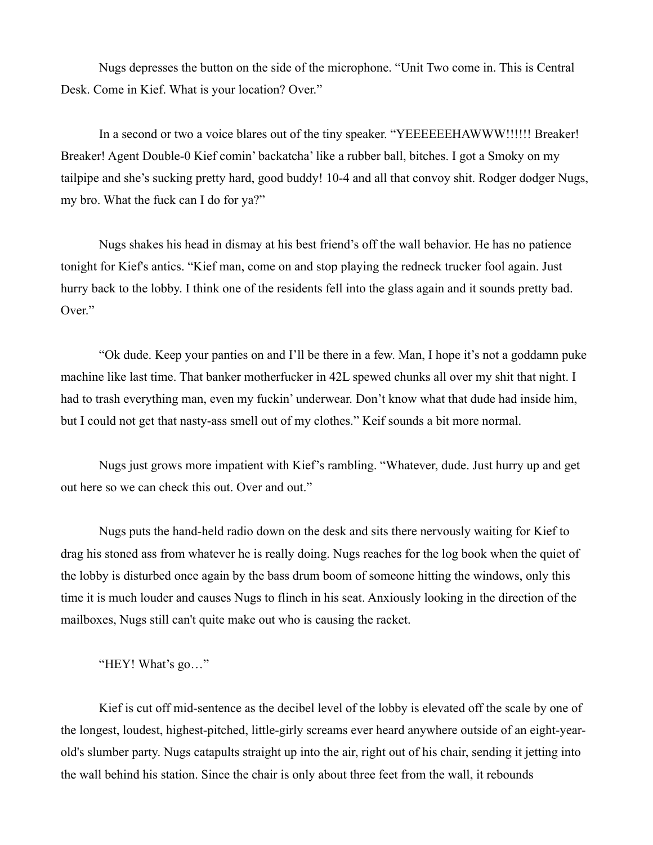Nugs depresses the button on the side of the microphone. "Unit Two come in. This is Central Desk. Come in Kief. What is your location? Over."

In a second or two a voice blares out of the tiny speaker. "YEEEEEEHAWWW!!!!!! Breaker! Breaker! Agent Double-0 Kief comin' backatcha' like a rubber ball, bitches. I got a Smoky on my tailpipe and she's sucking pretty hard, good buddy! 10-4 and all that convoy shit. Rodger dodger Nugs, my bro. What the fuck can I do for ya?"

Nugs shakes his head in dismay at his best friend's off the wall behavior. He has no patience tonight for Kief's antics. "Kief man, come on and stop playing the redneck trucker fool again. Just hurry back to the lobby. I think one of the residents fell into the glass again and it sounds pretty bad. Over."

"Ok dude. Keep your panties on and I'll be there in a few. Man, I hope it's not a goddamn puke machine like last time. That banker motherfucker in 42L spewed chunks all over my shit that night. I had to trash everything man, even my fuckin' underwear. Don't know what that dude had inside him, but I could not get that nasty-ass smell out of my clothes." Keif sounds a bit more normal.

Nugs just grows more impatient with Kief's rambling. "Whatever, dude. Just hurry up and get out here so we can check this out. Over and out."

Nugs puts the hand-held radio down on the desk and sits there nervously waiting for Kief to drag his stoned ass from whatever he is really doing. Nugs reaches for the log book when the quiet of the lobby is disturbed once again by the bass drum boom of someone hitting the windows, only this time it is much louder and causes Nugs to flinch in his seat. Anxiously looking in the direction of the mailboxes, Nugs still can't quite make out who is causing the racket.

"HEY! What's go…"

Kief is cut off mid-sentence as the decibel level of the lobby is elevated off the scale by one of the longest, loudest, highest-pitched, little-girly screams ever heard anywhere outside of an eight-yearold's slumber party. Nugs catapults straight up into the air, right out of his chair, sending it jetting into the wall behind his station. Since the chair is only about three feet from the wall, it rebounds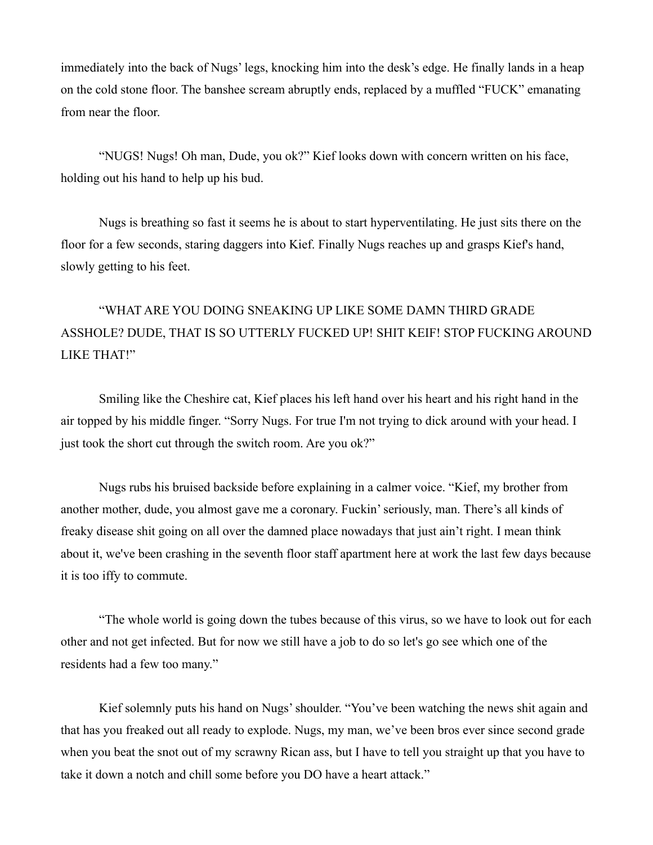immediately into the back of Nugs' legs, knocking him into the desk's edge. He finally lands in a heap on the cold stone floor. The banshee scream abruptly ends, replaced by a muffled "FUCK" emanating from near the floor.

"NUGS! Nugs! Oh man, Dude, you ok?" Kief looks down with concern written on his face, holding out his hand to help up his bud.

Nugs is breathing so fast it seems he is about to start hyperventilating. He just sits there on the floor for a few seconds, staring daggers into Kief. Finally Nugs reaches up and grasps Kief's hand, slowly getting to his feet.

## "WHAT ARE YOU DOING SNEAKING UP LIKE SOME DAMN THIRD GRADE ASSHOLE? DUDE, THAT IS SO UTTERLY FUCKED UP! SHIT KEIF! STOP FUCKING AROUND LIKE THAT!"

Smiling like the Cheshire cat, Kief places his left hand over his heart and his right hand in the air topped by his middle finger. "Sorry Nugs. For true I'm not trying to dick around with your head. I just took the short cut through the switch room. Are you ok?"

Nugs rubs his bruised backside before explaining in a calmer voice. "Kief, my brother from another mother, dude, you almost gave me a coronary. Fuckin' seriously, man. There's all kinds of freaky disease shit going on all over the damned place nowadays that just ain't right. I mean think about it, we've been crashing in the seventh floor staff apartment here at work the last few days because it is too iffy to commute.

"The whole world is going down the tubes because of this virus, so we have to look out for each other and not get infected. But for now we still have a job to do so let's go see which one of the residents had a few too many."

Kief solemnly puts his hand on Nugs' shoulder. "You've been watching the news shit again and that has you freaked out all ready to explode. Nugs, my man, we've been bros ever since second grade when you beat the snot out of my scrawny Rican ass, but I have to tell you straight up that you have to take it down a notch and chill some before you DO have a heart attack."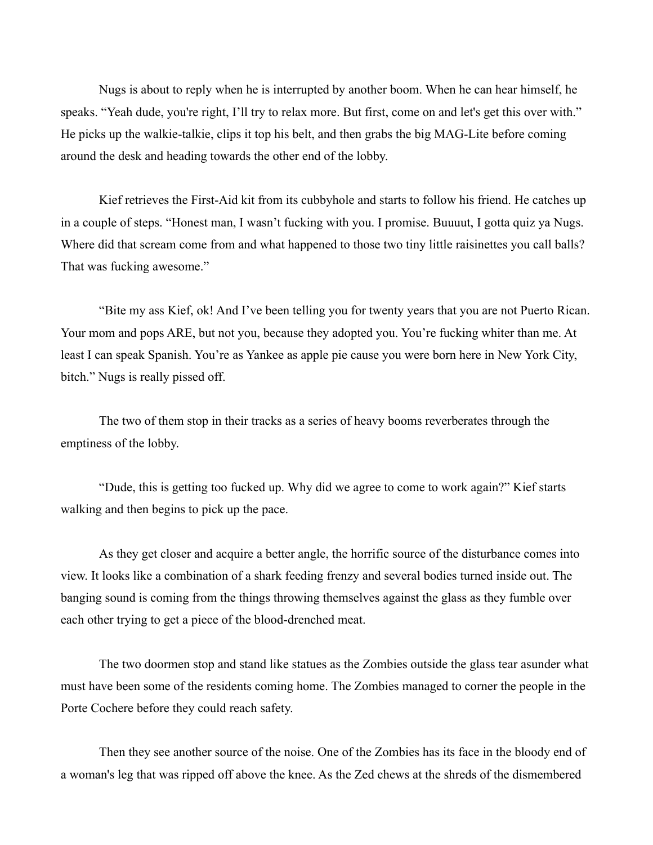Nugs is about to reply when he is interrupted by another boom. When he can hear himself, he speaks. "Yeah dude, you're right, I'll try to relax more. But first, come on and let's get this over with." He picks up the walkie-talkie, clips it top his belt, and then grabs the big MAG-Lite before coming around the desk and heading towards the other end of the lobby.

Kief retrieves the First-Aid kit from its cubbyhole and starts to follow his friend. He catches up in a couple of steps. "Honest man, I wasn't fucking with you. I promise. Buuuut, I gotta quiz ya Nugs. Where did that scream come from and what happened to those two tiny little raisinettes you call balls? That was fucking awesome."

"Bite my ass Kief, ok! And I've been telling you for twenty years that you are not Puerto Rican. Your mom and pops ARE, but not you, because they adopted you. You're fucking whiter than me. At least I can speak Spanish. You're as Yankee as apple pie cause you were born here in New York City, bitch." Nugs is really pissed off.

The two of them stop in their tracks as a series of heavy booms reverberates through the emptiness of the lobby.

"Dude, this is getting too fucked up. Why did we agree to come to work again?" Kief starts walking and then begins to pick up the pace.

As they get closer and acquire a better angle, the horrific source of the disturbance comes into view. It looks like a combination of a shark feeding frenzy and several bodies turned inside out. The banging sound is coming from the things throwing themselves against the glass as they fumble over each other trying to get a piece of the blood-drenched meat.

The two doormen stop and stand like statues as the Zombies outside the glass tear asunder what must have been some of the residents coming home. The Zombies managed to corner the people in the Porte Cochere before they could reach safety.

Then they see another source of the noise. One of the Zombies has its face in the bloody end of a woman's leg that was ripped off above the knee. As the Zed chews at the shreds of the dismembered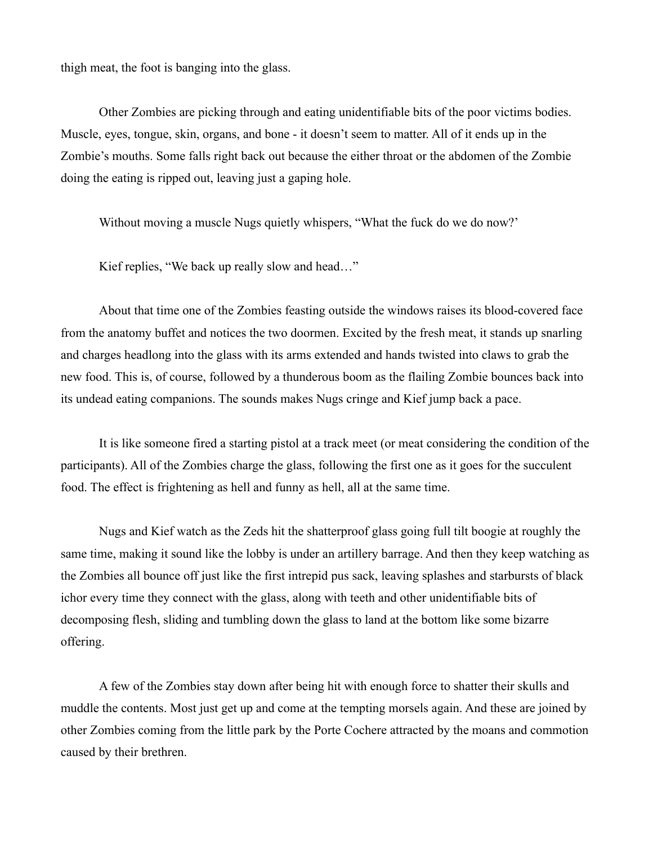thigh meat, the foot is banging into the glass.

Other Zombies are picking through and eating unidentifiable bits of the poor victims bodies. Muscle, eyes, tongue, skin, organs, and bone - it doesn't seem to matter. All of it ends up in the Zombie's mouths. Some falls right back out because the either throat or the abdomen of the Zombie doing the eating is ripped out, leaving just a gaping hole.

Without moving a muscle Nugs quietly whispers, "What the fuck do we do now?'

Kief replies, "We back up really slow and head…"

About that time one of the Zombies feasting outside the windows raises its blood-covered face from the anatomy buffet and notices the two doormen. Excited by the fresh meat, it stands up snarling and charges headlong into the glass with its arms extended and hands twisted into claws to grab the new food. This is, of course, followed by a thunderous boom as the flailing Zombie bounces back into its undead eating companions. The sounds makes Nugs cringe and Kief jump back a pace.

It is like someone fired a starting pistol at a track meet (or meat considering the condition of the participants). All of the Zombies charge the glass, following the first one as it goes for the succulent food. The effect is frightening as hell and funny as hell, all at the same time.

Nugs and Kief watch as the Zeds hit the shatterproof glass going full tilt boogie at roughly the same time, making it sound like the lobby is under an artillery barrage. And then they keep watching as the Zombies all bounce off just like the first intrepid pus sack, leaving splashes and starbursts of black ichor every time they connect with the glass, along with teeth and other unidentifiable bits of decomposing flesh, sliding and tumbling down the glass to land at the bottom like some bizarre offering.

A few of the Zombies stay down after being hit with enough force to shatter their skulls and muddle the contents. Most just get up and come at the tempting morsels again. And these are joined by other Zombies coming from the little park by the Porte Cochere attracted by the moans and commotion caused by their brethren.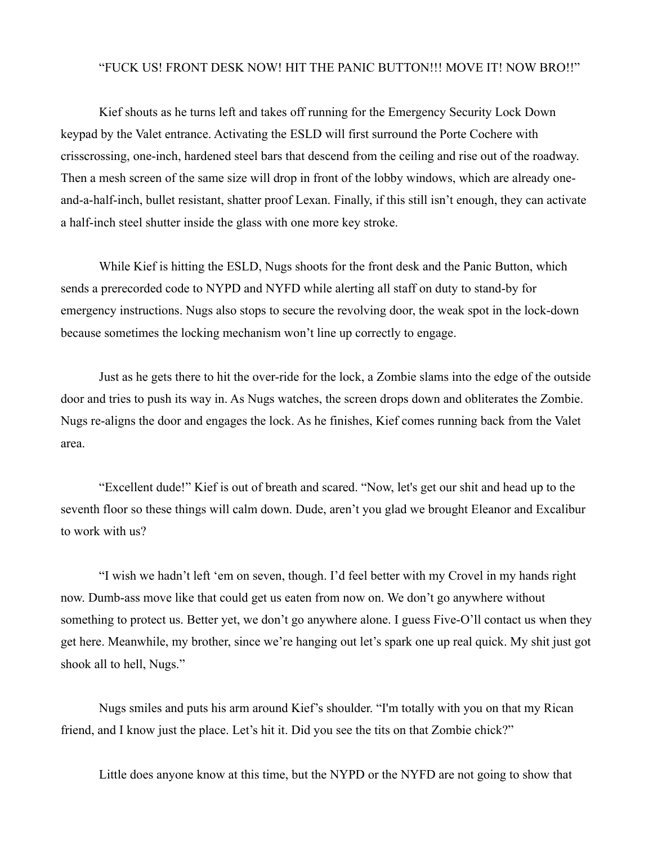## "FUCK US! FRONT DESK NOW! HIT THE PANIC BUTTON!!! MOVE IT! NOW BRO!!"

Kief shouts as he turns left and takes off running for the Emergency Security Lock Down keypad by the Valet entrance. Activating the ESLD will first surround the Porte Cochere with crisscrossing, one-inch, hardened steel bars that descend from the ceiling and rise out of the roadway. Then a mesh screen of the same size will drop in front of the lobby windows, which are already oneand-a-half-inch, bullet resistant, shatter proof Lexan. Finally, if this still isn't enough, they can activate a half-inch steel shutter inside the glass with one more key stroke.

While Kief is hitting the ESLD, Nugs shoots for the front desk and the Panic Button, which sends a prerecorded code to NYPD and NYFD while alerting all staff on duty to stand-by for emergency instructions. Nugs also stops to secure the revolving door, the weak spot in the lock-down because sometimes the locking mechanism won't line up correctly to engage.

Just as he gets there to hit the over-ride for the lock, a Zombie slams into the edge of the outside door and tries to push its way in. As Nugs watches, the screen drops down and obliterates the Zombie. Nugs re-aligns the door and engages the lock. As he finishes, Kief comes running back from the Valet area.

"Excellent dude!" Kief is out of breath and scared. "Now, let's get our shit and head up to the seventh floor so these things will calm down. Dude, aren't you glad we brought Eleanor and Excalibur to work with us?

"I wish we hadn't left 'em on seven, though. I'd feel better with my Crovel in my hands right now. Dumb-ass move like that could get us eaten from now on. We don't go anywhere without something to protect us. Better yet, we don't go anywhere alone. I guess Five-O'll contact us when they get here. Meanwhile, my brother, since we're hanging out let's spark one up real quick. My shit just got shook all to hell, Nugs."

Nugs smiles and puts his arm around Kief's shoulder. "I'm totally with you on that my Rican friend, and I know just the place. Let's hit it. Did you see the tits on that Zombie chick?"

Little does anyone know at this time, but the NYPD or the NYFD are not going to show that